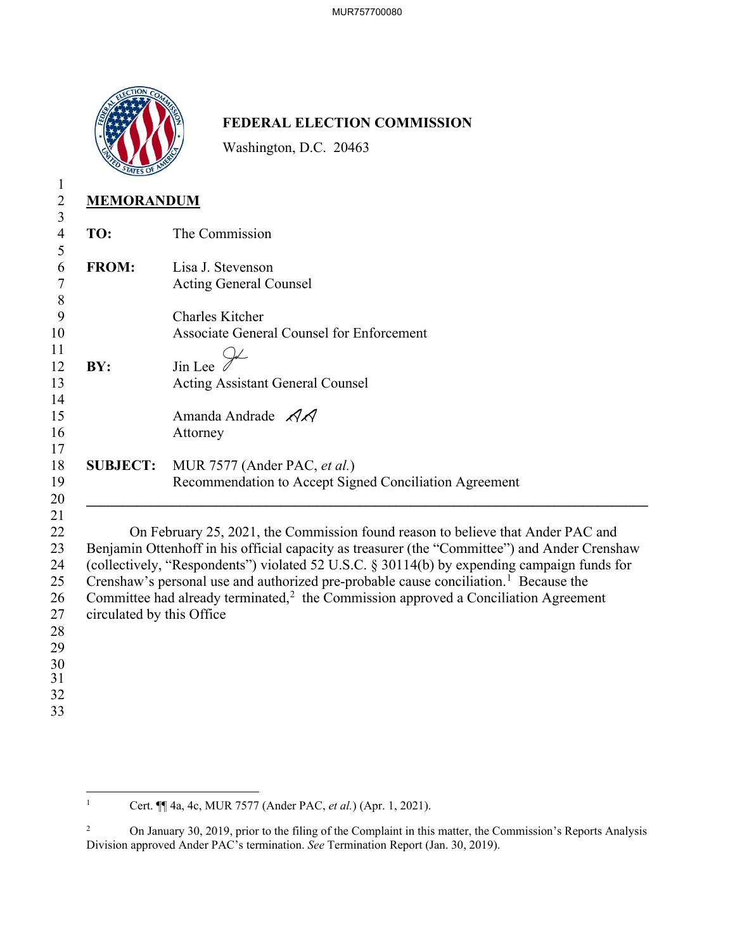

## **FEDERAL ELECTION COMMISSION**

Washington, D.C. 20463

| MEMORANDUM |
|------------|

| 3              |                                                                                                  |                                                                                 |  |
|----------------|--------------------------------------------------------------------------------------------------|---------------------------------------------------------------------------------|--|
| 4              | TO:                                                                                              | The Commission                                                                  |  |
| 5              |                                                                                                  |                                                                                 |  |
| 6              | FROM:                                                                                            | Lisa J. Stevenson                                                               |  |
| 7              |                                                                                                  | <b>Acting General Counsel</b>                                                   |  |
| $8\phantom{1}$ |                                                                                                  |                                                                                 |  |
| 9              |                                                                                                  | <b>Charles Kitcher</b>                                                          |  |
| 10             |                                                                                                  | <b>Associate General Counsel for Enforcement</b>                                |  |
| 11             |                                                                                                  |                                                                                 |  |
| 12             | BY:                                                                                              | Jin Lee                                                                         |  |
| 13             |                                                                                                  | Acting Assistant General Counsel                                                |  |
| 14             |                                                                                                  |                                                                                 |  |
| 15             |                                                                                                  | Amanda Andrade $\mathcal{AA}$                                                   |  |
| 16             |                                                                                                  | Attorney                                                                        |  |
| 17             |                                                                                                  |                                                                                 |  |
| 18             | <b>SUBJECT:</b>                                                                                  | MUR 7577 (Ander PAC, et al.)                                                    |  |
| 19             |                                                                                                  | Recommendation to Accept Signed Conciliation Agreement                          |  |
| 20             |                                                                                                  |                                                                                 |  |
| 21             |                                                                                                  |                                                                                 |  |
| 22             |                                                                                                  | On February 25, 2021, the Commission found reason to believe that Ander PAC and |  |
| 23             | Benjamin Ottenhoff in his official capacity as treasurer (the "Committee") and Ander Crenshaw    |                                                                                 |  |
| 24             | (collectively, "Respondents") violated 52 U.S.C. § 30114(b) by expending campaign funds for      |                                                                                 |  |
| 25             | Crenshaw's personal use and authorized pre-probable cause conciliation. <sup>1</sup> Because the |                                                                                 |  |
| 26             | Committee had already terminated, <sup>2</sup> the Commission approved a Conciliation Agreement  |                                                                                 |  |
| 27             | circulated by this Office                                                                        |                                                                                 |  |
| 28             |                                                                                                  |                                                                                 |  |
| 29             |                                                                                                  |                                                                                 |  |
| 30             |                                                                                                  |                                                                                 |  |
| 31             |                                                                                                  |                                                                                 |  |

32 33

<span id="page-0-0"></span><sup>1</sup> Cert. ¶¶ 4a, 4c, MUR 7577 (Ander PAC, *et al.*) (Apr. 1, 2021).

<span id="page-0-1"></span><sup>2</sup> On January 30, 2019, prior to the filing of the Complaint in this matter, the Commission's Reports Analysis Division approved Ander PAC's termination. *See* Termination Report (Jan. 30, 2019).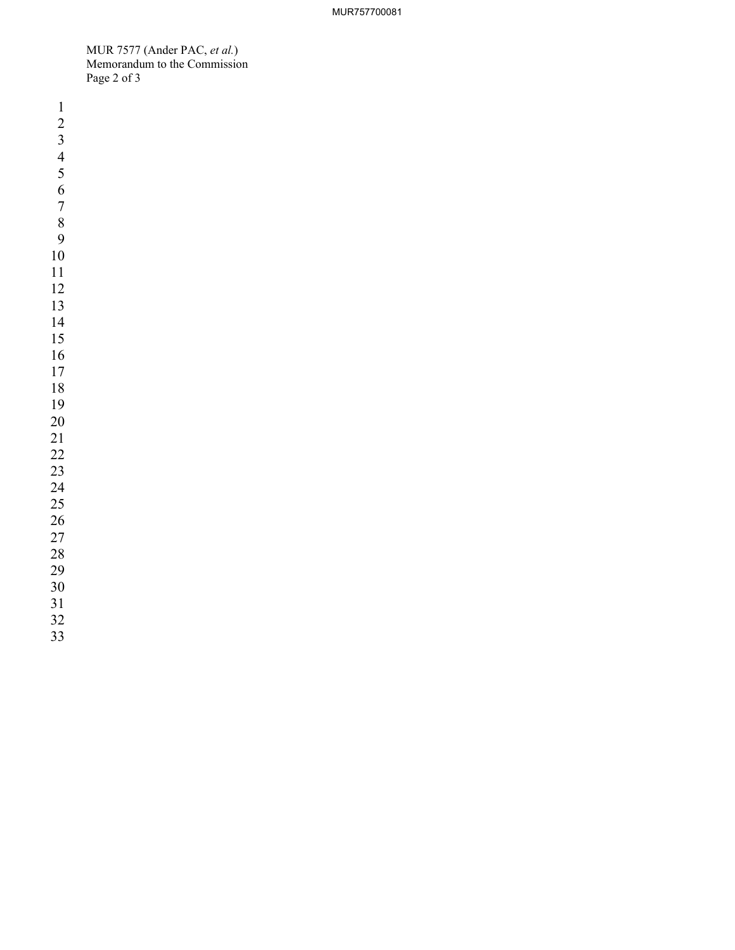MUR 7577 (Ander PAC, *et al.*) Memorandum to the Commission Page 2 of 3